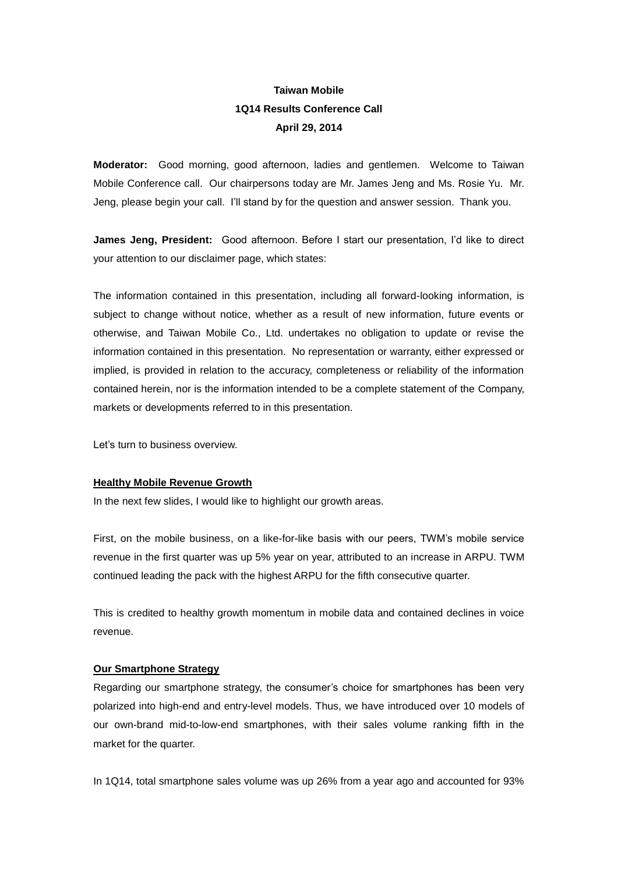# **Taiwan Mobile 1Q14 Results Conference Call April 29, 2014**

**Moderator:** Good morning, good afternoon, ladies and gentlemen. Welcome to Taiwan Mobile Conference call. Our chairpersons today are Mr. James Jeng and Ms. Rosie Yu. Mr. Jeng, please begin your call. I'll stand by for the question and answer session. Thank you.

**James Jeng, President:** Good afternoon. Before I start our presentation, I'd like to direct your attention to our disclaimer page, which states:

The information contained in this presentation, including all forward-looking information, is subject to change without notice, whether as a result of new information, future events or otherwise, and Taiwan Mobile Co., Ltd. undertakes no obligation to update or revise the information contained in this presentation. No representation or warranty, either expressed or implied, is provided in relation to the accuracy, completeness or reliability of the information contained herein, nor is the information intended to be a complete statement of the Company, markets or developments referred to in this presentation.

Let's turn to business overview.

# **Healthy Mobile Revenue Growth**

In the next few slides, I would like to highlight our growth areas.

First, on the mobile business, on a like-for-like basis with our peers, TWM's mobile service revenue in the first quarter was up 5% year on year, attributed to an increase in ARPU. TWM continued leading the pack with the highest ARPU for the fifth consecutive quarter.

This is credited to healthy growth momentum in mobile data and contained declines in voice revenue.

# **Our Smartphone Strategy**

Regarding our smartphone strategy, the consumer's choice for smartphones has been very polarized into high-end and entry-level models. Thus, we have introduced over 10 models of our own-brand mid-to-low-end smartphones, with their sales volume ranking fifth in the market for the quarter.

In 1Q14, total smartphone sales volume was up 26% from a year ago and accounted for 93%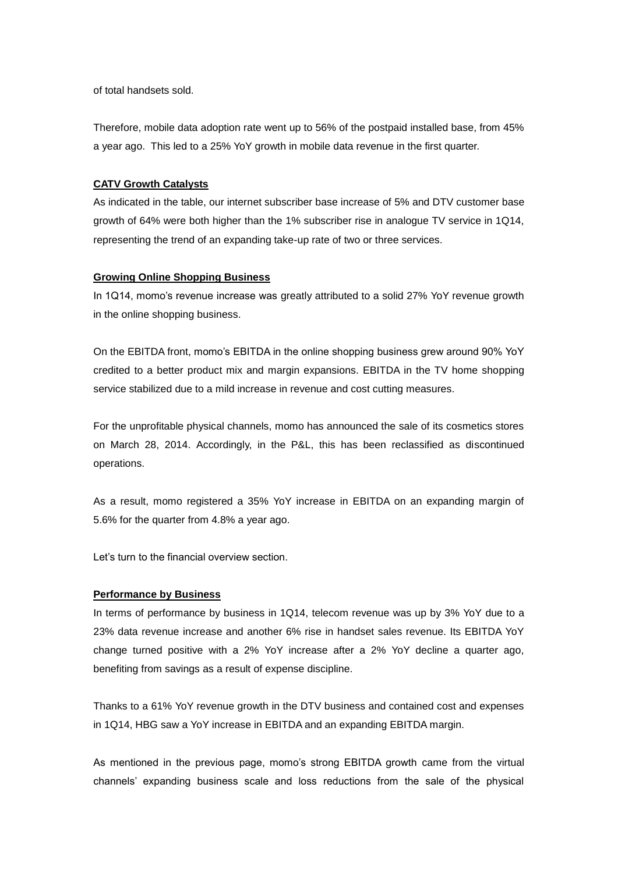of total handsets sold.

Therefore, mobile data adoption rate went up to 56% of the postpaid installed base, from 45% a year ago. This led to a 25% YoY growth in mobile data revenue in the first quarter.

# **CATV Growth Catalysts**

As indicated in the table, our internet subscriber base increase of 5% and DTV customer base growth of 64% were both higher than the 1% subscriber rise in analogue TV service in 1Q14, representing the trend of an expanding take-up rate of two or three services.

# **Growing Online Shopping Business**

In 1Q14, momo's revenue increase was greatly attributed to a solid 27% YoY revenue growth in the online shopping business.

On the EBITDA front, momo's EBITDA in the online shopping business grew around 90% YoY credited to a better product mix and margin expansions. EBITDA in the TV home shopping service stabilized due to a mild increase in revenue and cost cutting measures.

For the unprofitable physical channels, momo has announced the sale of its cosmetics stores on March 28, 2014. Accordingly, in the P&L, this has been reclassified as discontinued operations.

As a result, momo registered a 35% YoY increase in EBITDA on an expanding margin of 5.6% for the quarter from 4.8% a year ago.

Let's turn to the financial overview section.

# **Performance by Business**

In terms of performance by business in 1Q14, telecom revenue was up by 3% YoY due to a 23% data revenue increase and another 6% rise in handset sales revenue. Its EBITDA YoY change turned positive with a 2% YoY increase after a 2% YoY decline a quarter ago, benefiting from savings as a result of expense discipline.

Thanks to a 61% YoY revenue growth in the DTV business and contained cost and expenses in 1Q14, HBG saw a YoY increase in EBITDA and an expanding EBITDA margin.

As mentioned in the previous page, momo's strong EBITDA growth came from the virtual channels' expanding business scale and loss reductions from the sale of the physical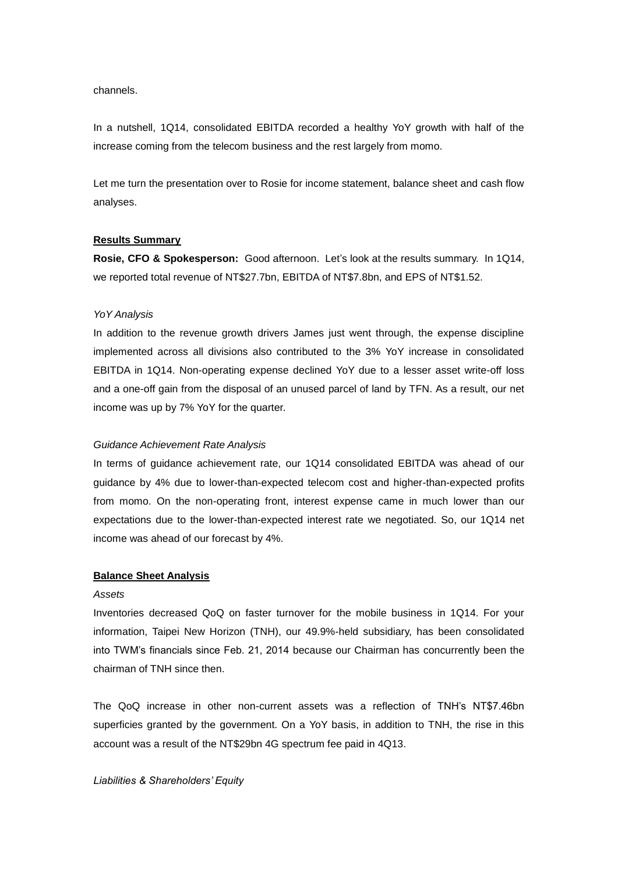channels.

In a nutshell, 1Q14, consolidated EBITDA recorded a healthy YoY growth with half of the increase coming from the telecom business and the rest largely from momo.

Let me turn the presentation over to Rosie for income statement, balance sheet and cash flow analyses.

# **Results Summary**

**Rosie, CFO & Spokesperson:** Good afternoon. Let's look at the results summary. In 1Q14, we reported total revenue of NT\$27.7bn, EBITDA of NT\$7.8bn, and EPS of NT\$1.52.

#### *YoY Analysis*

In addition to the revenue growth drivers James just went through, the expense discipline implemented across all divisions also contributed to the 3% YoY increase in consolidated EBITDA in 1Q14. Non-operating expense declined YoY due to a lesser asset write-off loss and a one-off gain from the disposal of an unused parcel of land by TFN. As a result, our net income was up by 7% YoY for the quarter.

#### *Guidance Achievement Rate Analysis*

In terms of guidance achievement rate, our 1Q14 consolidated EBITDA was ahead of our guidance by 4% due to lower-than-expected telecom cost and higher-than-expected profits from momo. On the non-operating front, interest expense came in much lower than our expectations due to the lower-than-expected interest rate we negotiated. So, our 1Q14 net income was ahead of our forecast by 4%.

#### **Balance Sheet Analysis**

#### *Assets*

Inventories decreased QoQ on faster turnover for the mobile business in 1Q14. For your information, Taipei New Horizon (TNH), our 49.9%-held subsidiary, has been consolidated into TWM's financials since Feb. 21, 2014 because our Chairman has concurrently been the chairman of TNH since then.

The QoQ increase in other non-current assets was a reflection of TNH's NT\$7.46bn superficies granted by the government. On a YoY basis, in addition to TNH, the rise in this account was a result of the NT\$29bn 4G spectrum fee paid in 4Q13.

#### *Liabilities & Shareholders' Equity*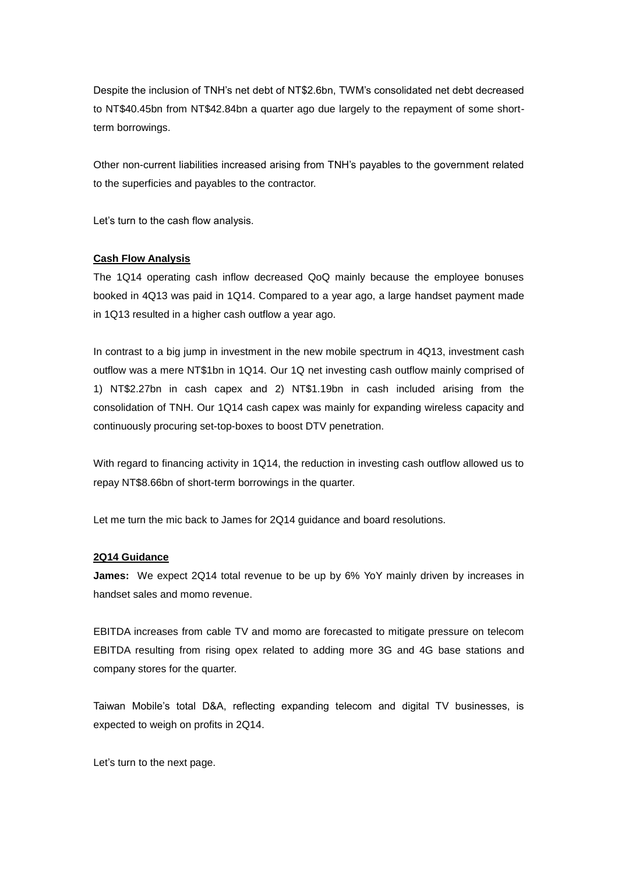Despite the inclusion of TNH's net debt of NT\$2.6bn, TWM's consolidated net debt decreased to NT\$40.45bn from NT\$42.84bn a quarter ago due largely to the repayment of some shortterm borrowings.

Other non-current liabilities increased arising from TNH's payables to the government related to the superficies and payables to the contractor.

Let's turn to the cash flow analysis.

# **Cash Flow Analysis**

The 1Q14 operating cash inflow decreased QoQ mainly because the employee bonuses booked in 4Q13 was paid in 1Q14. Compared to a year ago, a large handset payment made in 1Q13 resulted in a higher cash outflow a year ago.

In contrast to a big jump in investment in the new mobile spectrum in 4Q13, investment cash outflow was a mere NT\$1bn in 1Q14. Our 1Q net investing cash outflow mainly comprised of 1) NT\$2.27bn in cash capex and 2) NT\$1.19bn in cash included arising from the consolidation of TNH. Our 1Q14 cash capex was mainly for expanding wireless capacity and continuously procuring set-top-boxes to boost DTV penetration.

With regard to financing activity in 1Q14, the reduction in investing cash outflow allowed us to repay NT\$8.66bn of short-term borrowings in the quarter.

Let me turn the mic back to James for 2Q14 guidance and board resolutions.

# **2Q14 Guidance**

**James:** We expect 2Q14 total revenue to be up by 6% YoY mainly driven by increases in handset sales and momo revenue.

EBITDA increases from cable TV and momo are forecasted to mitigate pressure on telecom EBITDA resulting from rising opex related to adding more 3G and 4G base stations and company stores for the quarter.

Taiwan Mobile's total D&A, reflecting expanding telecom and digital TV businesses, is expected to weigh on profits in 2Q14.

Let's turn to the next page.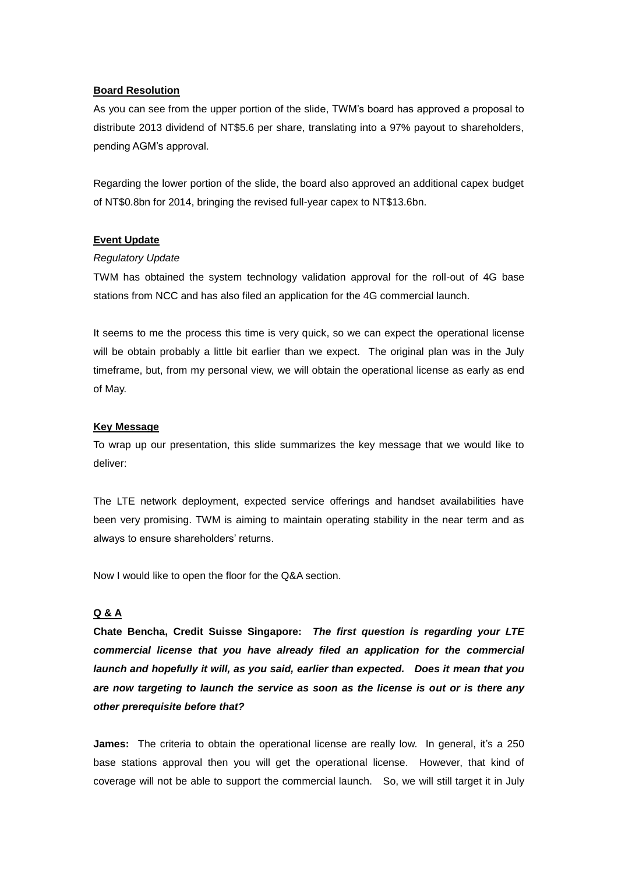# **Board Resolution**

As you can see from the upper portion of the slide, TWM's board has approved a proposal to distribute 2013 dividend of NT\$5.6 per share, translating into a 97% payout to shareholders, pending AGM's approval.

Regarding the lower portion of the slide, the board also approved an additional capex budget of NT\$0.8bn for 2014, bringing the revised full-year capex to NT\$13.6bn.

# **Event Update**

# *Regulatory Update*

TWM has obtained the system technology validation approval for the roll-out of 4G base stations from NCC and has also filed an application for the 4G commercial launch.

It seems to me the process this time is very quick, so we can expect the operational license will be obtain probably a little bit earlier than we expect. The original plan was in the July timeframe, but, from my personal view, we will obtain the operational license as early as end of May.

# **Key Message**

To wrap up our presentation, this slide summarizes the key message that we would like to deliver:

The LTE network deployment, expected service offerings and handset availabilities have been very promising. TWM is aiming to maintain operating stability in the near term and as always to ensure shareholders' returns.

Now I would like to open the floor for the Q&A section.

# **Q & A**

**Chate Bencha, Credit Suisse Singapore:** *The first question is regarding your LTE commercial license that you have already filed an application for the commercial launch and hopefully it will, as you said, earlier than expected. Does it mean that you are now targeting to launch the service as soon as the license is out or is there any other prerequisite before that?* 

**James:** The criteria to obtain the operational license are really low. In general, it's a 250 base stations approval then you will get the operational license. However, that kind of coverage will not be able to support the commercial launch. So, we will still target it in July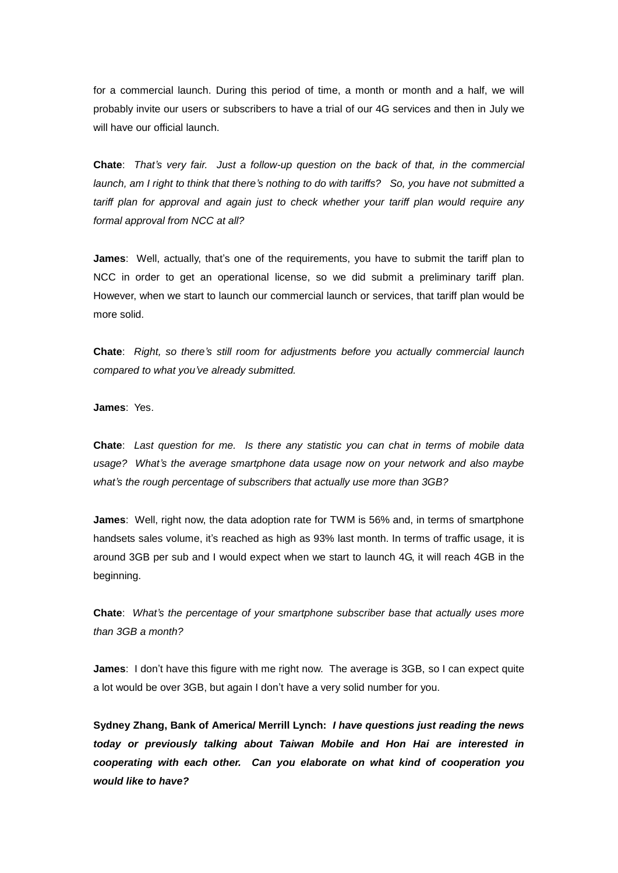for a commercial launch. During this period of time, a month or month and a half, we will probably invite our users or subscribers to have a trial of our 4G services and then in July we will have our official launch.

**Chate**: *That's very fair. Just a follow-up question on the back of that, in the commercial launch, am I right to think that there's nothing to do with tariffs? So, you have not submitted a tariff plan for approval and again just to check whether your tariff plan would require any formal approval from NCC at all?*

**James**: Well, actually, that's one of the requirements, you have to submit the tariff plan to NCC in order to get an operational license, so we did submit a preliminary tariff plan. However, when we start to launch our commercial launch or services, that tariff plan would be more solid.

**Chate**: *Right, so there's still room for adjustments before you actually commercial launch compared to what you've already submitted.*

**James**: Yes.

**Chate**: *Last question for me. Is there any statistic you can chat in terms of mobile data usage? What's the average smartphone data usage now on your network and also maybe what's the rough percentage of subscribers that actually use more than 3GB?*

**James**: Well, right now, the data adoption rate for TWM is 56% and, in terms of smartphone handsets sales volume, it's reached as high as 93% last month. In terms of traffic usage, it is around 3GB per sub and I would expect when we start to launch 4G, it will reach 4GB in the beginning.

**Chate**: *What's the percentage of your smartphone subscriber base that actually uses more than 3GB a month?* 

**James**: I don't have this figure with me right now. The average is 3GB, so I can expect quite a lot would be over 3GB, but again I don't have a very solid number for you.

**Sydney Zhang, Bank of America/ Merrill Lynch:** *I have questions just reading the news today or previously talking about Taiwan Mobile and Hon Hai are interested in cooperating with each other. Can you elaborate on what kind of cooperation you would like to have?*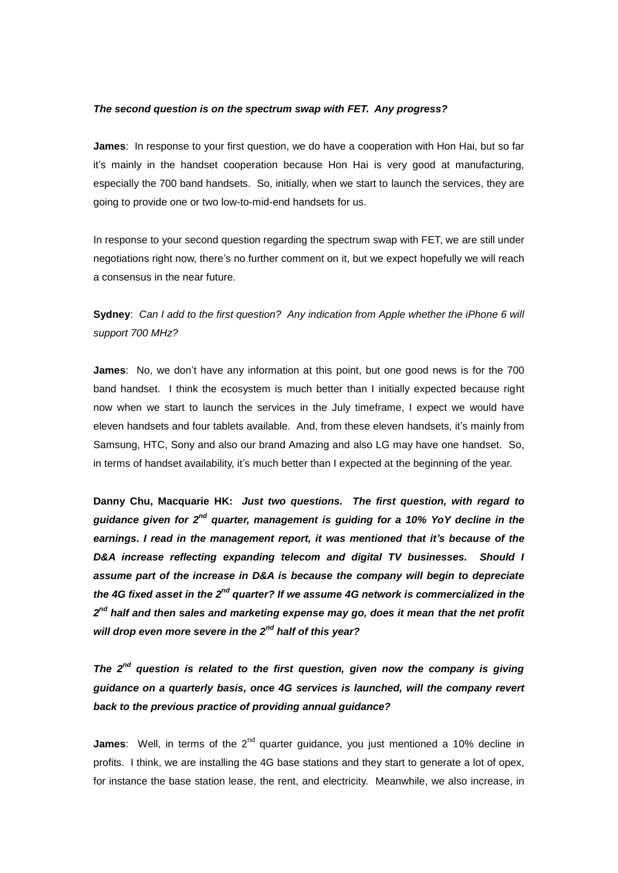# *The second question is on the spectrum swap with FET. Any progress?*

**James**: In response to your first question, we do have a cooperation with Hon Hai, but so far it's mainly in the handset cooperation because Hon Hai is very good at manufacturing, especially the 700 band handsets. So, initially, when we start to launch the services, they are going to provide one or two low-to-mid-end handsets for us.

In response to your second question regarding the spectrum swap with FET, we are still under negotiations right now, there's no further comment on it, but we expect hopefully we will reach a consensus in the near future.

**Sydney**: *Can I add to the first question? Any indication from Apple whether the iPhone 6 will support 700 MHz?*

**James**: No, we don't have any information at this point, but one good news is for the 700 band handset. I think the ecosystem is much better than I initially expected because right now when we start to launch the services in the July timeframe, I expect we would have eleven handsets and four tablets available. And, from these eleven handsets, it's mainly from Samsung, HTC, Sony and also our brand Amazing and also LG may have one handset. So, in terms of handset availability, it's much better than I expected at the beginning of the year.

**Danny Chu, Macquarie HK:** *Just two questions. The first question, with regard to guidance given for 2nd quarter, management is guiding for a 10% YoY decline in the earnings. I read in the management report, it was mentioned that it's because of the D&A increase reflecting expanding telecom and digital TV businesses. Should I assume part of the increase in D&A is because the company will begin to depreciate the 4G fixed asset in the 2nd quarter? If we assume 4G network is commercialized in the 2 nd half and then sales and marketing expense may go, does it mean that the net profit will drop even more severe in the 2nd half of this year?*

*The 2nd question is related to the first question, given now the company is giving guidance on a quarterly basis, once 4G services is launched, will the company revert back to the previous practice of providing annual guidance?*

**James**: Well, in terms of the 2<sup>nd</sup> quarter quidance, you just mentioned a 10% decline in profits. I think, we are installing the 4G base stations and they start to generate a lot of opex, for instance the base station lease, the rent, and electricity. Meanwhile, we also increase, in